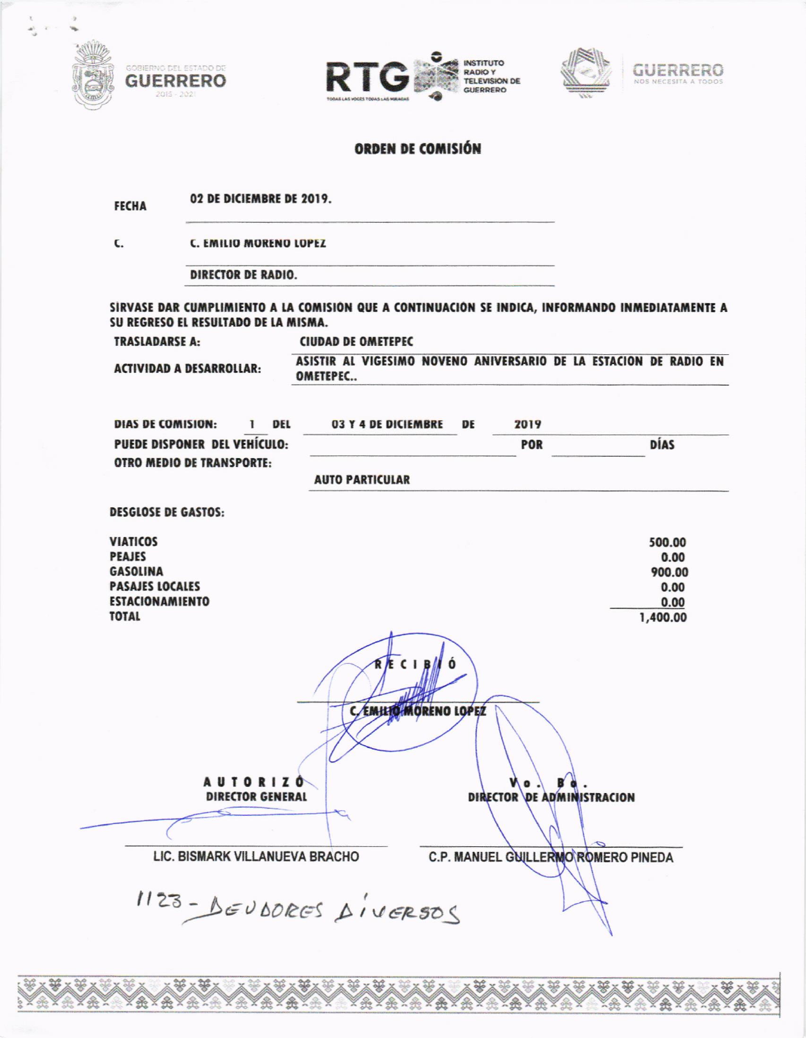







### ORDEN DE COMISIÓN

02 DE DICIEMBRE DE 2019. **FECHA** 

C. **C. EMILIO MORENO LOPEZ** 

**DIRECTOR DE RADIO.** 

SIRVASE DAR CUMPLIMIENTO A LA COMISIÓN QUE A CONTINUACIÓN SE INDICA, INFORMANDO INMEDIATAMENTE A SU REGRESO EL RESULTADO DE LA MISMA.

**CIUDAD DE OMETEPEC** 

**ACTIVIDAD A DESARROLLAR:** 

**TRASLADARSE A:** 

ASISTIR AL VIGESIMO NOVENO ANIVERSARIO DE LA ESTACION DE RADIO EN OMETEPEC..

| DIAS DE COMISION:            | DEL | <b>03 Y 4 DE DICI</b> |
|------------------------------|-----|-----------------------|
| PUEDE DISPONER DEL VEHÍCULO: |     |                       |
| OTRO MEDIO DE TRANSPORTE.    |     |                       |

2019 **EMBRE** DE **DÍAS** POR **AUTO PARTICULAR** 

| <b>DESULUSE DE GASIUS:</b>                                                                                              |                                                      |
|-------------------------------------------------------------------------------------------------------------------------|------------------------------------------------------|
| <b>VIATICOS</b><br><b>PEAJES</b><br><b>GASOLINA</b><br><b>PASAJES LOCALES</b><br><b>ESTACIONAMIENTO</b><br><b>TOTAL</b> | 500.00<br>0.00<br>900.00<br>0.00<br>0.00<br>1,400.00 |
|                                                                                                                         | $\epsilon$<br>Ó<br>C. EMILIO MORENO LOPEZ            |
| <b>AUTORIZÓ</b><br><b>DIRECTOR GENERAL</b>                                                                              | DIRECTOR DE ADMINISTRACION                           |
|                                                                                                                         |                                                      |
| LIC. BISMARK VILLANUEVA BRACHO                                                                                          | C.P. MANUEL GUILLERMO ROMERO PINEDA                  |
| 1123-BEUDORES AIVERSOS                                                                                                  |                                                      |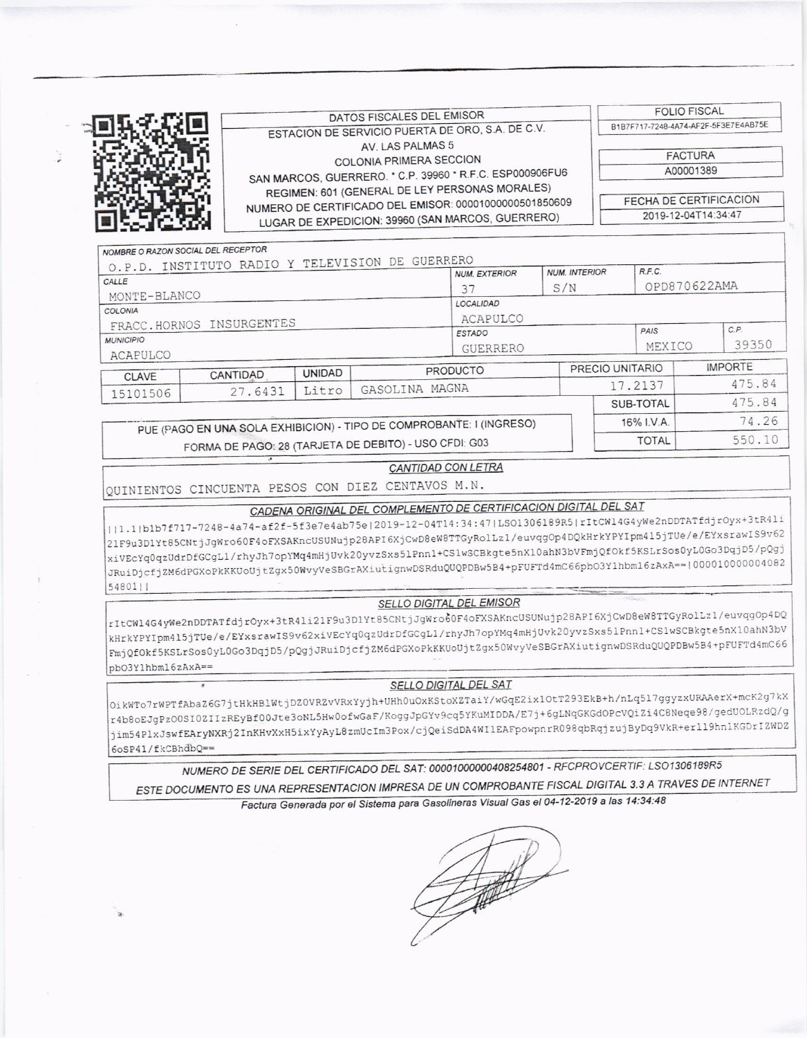**FOLIO FISCAL** DATOS FISCALES DEL EMISOR B1B7F717-7248-4A74-AF2F-5F3E7E4AB75E ESTACION DE SERVICIO PUERTA DE ORO, S.A. DE C.V. AV. LAS PALMAS 5 **FACTURA** COLONIA PRIMERA SECCION SAN MARCOS, GUERRERO. \* C.P. 39960 \* R.F.C. ESP000906FU6 A00001389 REGIMEN: 601 (GENERAL DE LEY PERSONAS MORALES) FECHA DE CERTIFICACION NUMERO DE CERTIFICADO DEL EMISOR: 00001000000501850609 LUGAR DE EXPEDICION: 39960 (SAN MARCOS, GUERRERO) 2019-12-04T14:34:47 NOMBRE O RAZON SOCIAL DEL RECEPTOR

| O.P.D. INSTITUTO RADIO Y TELEVISION DE GUERRERO |                                                                      |               | <b>NUM. INTERIOR</b><br><b>NUM. EXTERIOR</b> |                 | R.F.C. |                 |      |                |  |
|-------------------------------------------------|----------------------------------------------------------------------|---------------|----------------------------------------------|-----------------|--------|-----------------|------|----------------|--|
| CALLE                                           |                                                                      |               | 37                                           | S/N             |        | OPD870622AMA    |      |                |  |
| MONTE-BLANCO                                    |                                                                      |               |                                              | LOCALIDAD       |        |                 |      |                |  |
| COLONIA                                         |                                                                      |               |                                              |                 |        |                 |      |                |  |
| FRACC.HORNOS INSURGENTES                        |                                                                      |               |                                              | ACAPULCO        |        |                 | C.P. |                |  |
| <b>MUNICIPIO</b>                                |                                                                      |               | <b>ESTADO</b>                                |                 |        | PAIS            |      |                |  |
| ACAPULCO                                        |                                                                      |               | GUERRERO                                     |                 | MEXICO |                 |      |                |  |
|                                                 |                                                                      |               |                                              | <b>PRODUCTO</b> |        | PRECIO UNITARIO |      | <b>IMPORTE</b> |  |
| <b>CLAVE</b>                                    | CANTIDAD                                                             | <b>UNIDAD</b> |                                              |                 |        | 17.2137         |      | 475.84         |  |
| 15101506                                        | 27.6431                                                              | Litro         | GASOLINA MAGNA                               |                 |        |                 |      |                |  |
|                                                 |                                                                      |               |                                              |                 |        | SUB-TOTAL       |      | 475.84         |  |
|                                                 | PUE (PAGO EN UNA SOLA EXHIBICION) - TIPO DE COMPROBANTE: I (INGRESO) |               |                                              |                 |        | 16% I.V.A.      |      | 74.26          |  |
|                                                 |                                                                      |               |                                              |                 |        |                 |      |                |  |

# FORMA DE PAGO: 28 (TARJETA DE DEBITO) - USO CFDI: G03

### **CANTIDAD CON LETRA**

550.10

**TOTAL** 

# QUINIENTOS CINCUENTA PESOS CON DIEZ CENTAVOS M.N.

## CADENA ORIGINAL DEL COMPLEMENTO DE CERTIFICACION DIGITAL DEL SAT

||1.1|b1b7f717-7248-4a74-af2f-5f3e7e4ab75e|2019-12-04T14:34:47|LSO1306189R5|rItCWl4G4yWe2nDDTATfdjrOyx+3tR4li 21F9u3D1Yt85CNtjJgWro60F4oFXSAKncUSUNujp28API6XjCwD8eW8TTGyRolLz1/euvqgOp4DQkHrkYPYIpm415jTUe/e/EYxsrawIS9v62 xiVEcYq0qzUdrDfGCgLl/rhyJh7opYMq4mHjUvk20yvzSxs5lPnn1+CSlwSCBkgte5nX10ahN3bVFmjQfOkf5KSLrSos0yL0Go3DqjD5/pQgj JRuiDjcfjZM6dPGXoPkKKUoUjtZgx50WvyVeSBGrAXiutignwDSRduQUQPDBw5B4+pFUFTd4mC66pbO3Y1hbm16zAxA==|000010000004082 54801||

### SELLO DIGITAL DEL EMISOR

rItCWl4G4yWe2nDDTATfdjrOyx+3tR4li21F9u3D1Yt85CNtjJgWro60F4oFXSAKncUSUNujp28API6XjCwD8eW8TTGyRolLz1/euvqgOp4DQ kHrkYPYIpm415jTUe/e/EYxsrawIS9v62xiVEcYq0qzUdrDfGCgLl/rhyJh7opYMq4mHjUvk20yvzSxs5lPnn1+CS1wSCBkgte5nX10ahN3bV FmjQfOkf5KSLrSos0yL0Go3DqjD5/pQgjJRuiDjcfjZM6dPGXoPkKKUoUjtZgx50WvyVeSBGrAXiutignwDSRduQUQPDBw5B4+pFUFTd4mC66 pb03Y1hbm16zAxA==

#### SELLO DIGITAL DEL SAT

OikWTo7rWPTfAbaZ6G7jtHkHBlWtjDZ0VRZvVRxYyjh+UHh0uOxKStoXZTaiY/wGqE2ix1OtT293EkB+h/nLq5l7ggyzxURAAerX+mcK2g7kX r4b8oEJgPz00SI0ZIIzREyBf00Jte3oNL5Hw0ofwGaF/KoggJpGYv9cq5YKuMIDDA/E7j+6gLNqGKGdOPcVQiZi4C8Neqe98/gedUOLRzdQ/g jim54PlxJswfEAryNXRj2InKHvXxH5ixYyAyL8zmUcIm3Pox/cjQeiSdDA4WI1EAFpowpnrR098qbRqjzujByDq9VkR+erll9hn1KGDrIZWDZ 6oSP41/fkCBhdbQ ==

NUMERO DE SERIE DEL CERTIFICADO DEL SAT: 00001000000408254801 - RFCPROVCERTIF: LSO1306189R5 ESTE DOCUMENTO ES UNA REPRESENTACION IMPRESA DE UN COMPROBANTE FISCAL DIGITAL 3.3 A TRAVES DE INTERNET

Factura Generada por el Sistema para Gasolineras Visual Gas el 04-12-2019 a las 14:34:48